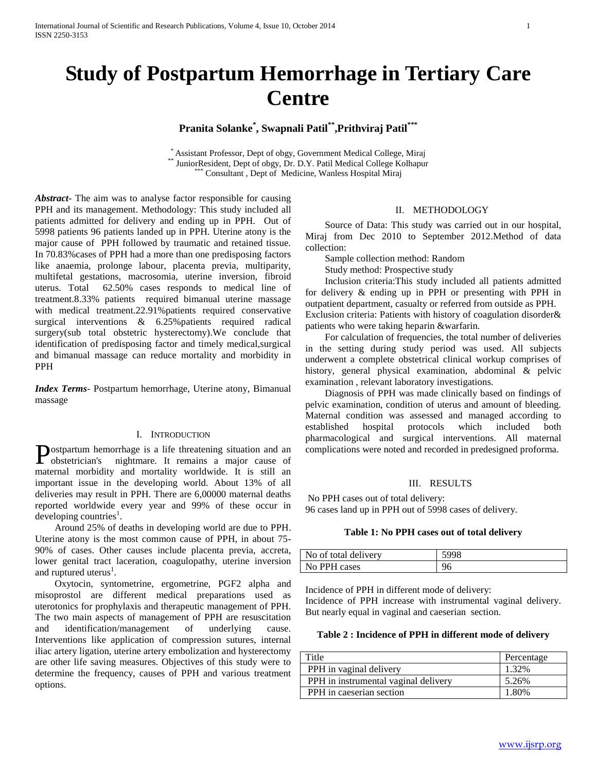# **Study of Postpartum Hemorrhage in Tertiary Care Centre**

# **Pranita Solanke\* , Swapnali Patil\*\*,Prithviraj Patil\*\*\***

\* Assistant Professor, Dept of obgy, Government Medical College, Miraj JuniorResident, Dept of obgy, Dr. D.Y. Patil Medical College Kolhapur Consultant , Dept of Medicine, Wanless Hospital Miraj

*Abstract***-** The aim was to analyse factor responsible for causing PPH and its management. Methodology: This study included all patients admitted for delivery and ending up in PPH. Out of 5998 patients 96 patients landed up in PPH. Uterine atony is the major cause of PPH followed by traumatic and retained tissue. In 70.83%cases of PPH had a more than one predisposing factors like anaemia, prolonge labour, placenta previa, multiparity, multifetal gestations, macrosomia, uterine inversion, fibroid uterus. Total 62.50% cases responds to medical line of treatment.8.33% patients required bimanual uterine massage with medical treatment.22.91%patients required conservative surgical interventions & 6.25% patients required radical surgery(sub total obstetric hysterectomy).We conclude that identification of predisposing factor and timely medical,surgical and bimanual massage can reduce mortality and morbidity in PPH

*Index Terms*- Postpartum hemorrhage, Uterine atony, Bimanual massage

## I. INTRODUCTION

**Postpartum hemorrhage is a life threatening situation and an obstetrician's** inghtmare. It remains a major cause of obstetrician's nightmare. It remains a major cause of maternal morbidity and mortality worldwide. It is still an important issue in the developing world. About 13% of all deliveries may result in PPH. There are 6,00000 maternal deaths reported worldwide every year and 99% of these occur in  $developing$  countries<sup>1</sup>.

 Around 25% of deaths in developing world are due to PPH. Uterine atony is the most common cause of PPH, in about 75- 90% of cases. Other causes include placenta previa, accreta, lower genital tract laceration, coagulopathy, uterine inversion and ruptured uterus<sup>1</sup>.

 Oxytocin, syntometrine, ergometrine, PGF2 alpha and misoprostol are different medical preparations used as uterotonics for prophylaxis and therapeutic management of PPH. The two main aspects of management of PPH are resuscitation and identification/management of underlying cause. Interventions like application of compression sutures, internal iliac artery ligation, uterine artery embolization and hysterectomy are other life saving measures. Objectives of this study were to determine the frequency, causes of PPH and various treatment options.

#### II. METHODOLOGY

 Source of Data: This study was carried out in our hospital, Miraj from Dec 2010 to September 2012.Method of data collection:

Sample collection method: Random

Study method: Prospective study

 Inclusion criteria:This study included all patients admitted for delivery & ending up in PPH or presenting with PPH in outpatient department, casualty or referred from outside as PPH. Exclusion criteria: Patients with history of coagulation disorder& patients who were taking heparin &warfarin.

 For calculation of frequencies, the total number of deliveries in the setting during study period was used. All subjects underwent a complete obstetrical clinical workup comprises of history, general physical examination, abdominal & pelvic examination , relevant laboratory investigations.

 Diagnosis of PPH was made clinically based on findings of pelvic examination, condition of uterus and amount of bleeding. Maternal condition was assessed and managed according to established hospital protocols which included both pharmacological and surgical interventions. All maternal complications were noted and recorded in predesigned proforma.

#### III. RESULTS

No PPH cases out of total delivery: 96 cases land up in PPH out of 5998 cases of delivery.

#### **Table 1: No PPH cases out of total delivery**

| No of total delivery |  |
|----------------------|--|
| No PPH cases         |  |

Incidence of PPH in different mode of delivery: Incidence of PPH increase with instrumental vaginal delivery. But nearly equal in vaginal and caeserian section.

# **Table 2 : Incidence of PPH in different mode of delivery**

| Title                                | Percentage |
|--------------------------------------|------------|
| PPH in vaginal delivery              | 1.32%      |
| PPH in instrumental vaginal delivery | 5.26%      |
| PPH in caeserian section             | 1.80%      |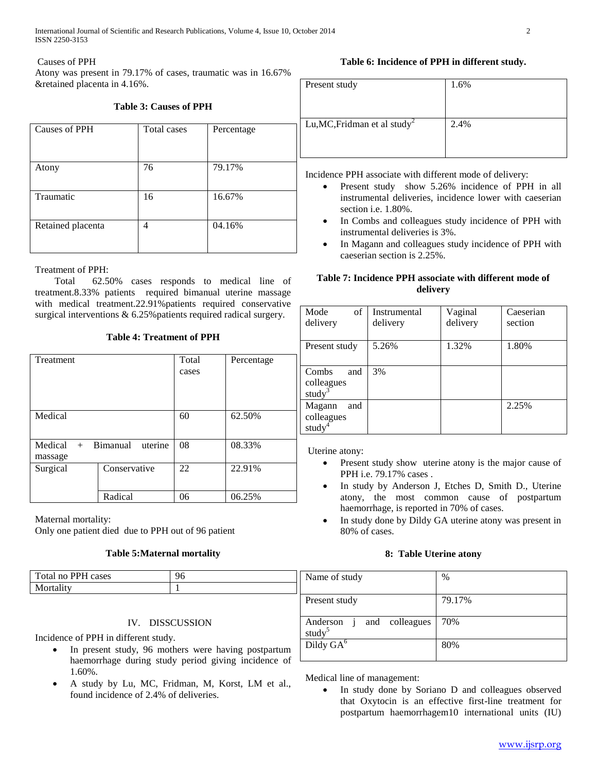# Causes of PPH

Atony was present in 79.17% of cases, traumatic was in 16.67% &retained placenta in 4.16%.

# **Table 3: Causes of PPH** Causes of PPH Total cases Percentage Atony 76 79.17% Traumatic 16.67% Retained placenta  $\boxed{4}$  04.16%

# Treatment of PPH:

 Total 62.50% cases responds to medical line of treatment.8.33% patients required bimanual uterine massage with medical treatment.22.91%patients required conservative surgical interventions & 6.25% patients required radical surgery.

# **Table 4: Treatment of PPH**

| Treatment                |                       | Total<br>cases | Percentage |
|--------------------------|-----------------------|----------------|------------|
| Medical                  |                       | 60             | 62.50%     |
| Medical<br>massage       | uterine<br>+ Bimanual | 08             | 08.33%     |
| Surgical<br>Conservative |                       | 22             | 22.91%     |
|                          | Radical               | 06             | 06.25%     |

Maternal mortality:

Only one patient died due to PPH out of 96 patient

#### **Table 5:Maternal mortality**

# **Table 6: Incidence of PPH in different study.**

| Present study                            | 1.6% |
|------------------------------------------|------|
| Lu, MC, Fridman et al study <sup>2</sup> | 2.4% |

Incidence PPH associate with different mode of delivery:

- Present study show 5.26% incidence of PPH in all instrumental deliveries, incidence lower with caeserian section i.e. 1.80%.
- In Combs and colleagues study incidence of PPH with instrumental deliveries is 3%.
- In Magann and colleagues study incidence of PPH with caeserian section is 2.25%.

# **Table 7: Incidence PPH associate with different mode of delivery**

| Mode<br>of    | Instrumental | Vaginal  | Caeserian |
|---------------|--------------|----------|-----------|
| delivery      | delivery     | delivery | section   |
|               |              |          |           |
| Present study | 5.26%        | 1.32%    | 1.80%     |
|               |              |          |           |
| Combs<br>and  | 3%           |          |           |
| colleagues    |              |          |           |
| study         |              |          |           |
| and<br>Magann |              |          | 2.25%     |
| colleagues    |              |          |           |
| study         |              |          |           |

Uterine atony:

- Present study show uterine atony is the major cause of PPH i.e. 79.17% cases .
- In study by Anderson J, Etches D, Smith D., Uterine atony, the most common cause of postpartum haemorrhage, is reported in 70% of cases.
- In study done by Dildy GA uterine atony was present in 80% of cases.

#### **8: Table Uterine atony**

| Total no PPH cases | 96 | Name of study | %      |
|--------------------|----|---------------|--------|
| Mortality          |    |               |        |
|                    |    | Present study | 79.17% |

# IV. DISSCUSSION

Incidence of PPH in different study.

- In present study, 96 mothers were having postpartum haemorrhage during study period giving incidence of 1.60%.
- A study by Lu, MC, Fridman, M, Korst, LM et al., found incidence of 2.4% of deliveries.

| Anderson           |  | and colleagues 70% |     |
|--------------------|--|--------------------|-----|
| study <sup>5</sup> |  |                    |     |
| Dildy $GA^6$       |  |                    | 80% |
|                    |  |                    |     |

Medical line of management:

• In study done by Soriano D and colleagues observed that Oxytocin is an effective first-line treatment for postpartum haemorrhagem10 international units (IU)